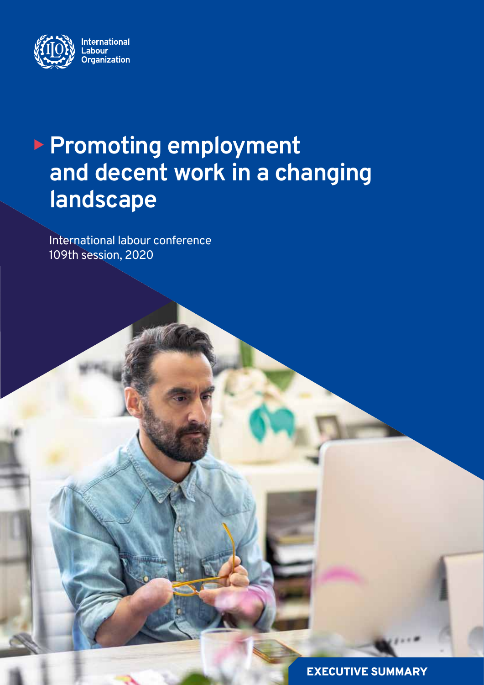

# **Promoting employment and decent work in a changing landscape**

International labour conference 109th session, 2020

EXECUTIVE SUMMARY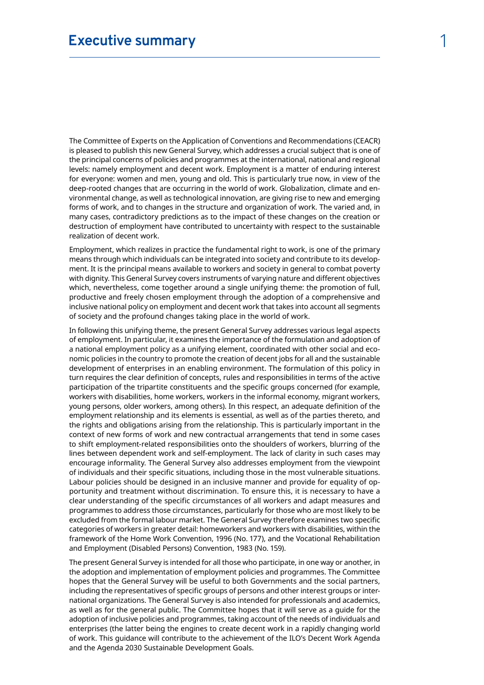The Committee of Experts on the Application of Conventions and Recommendations (CEACR) is pleased to publish this new General Survey, which addresses a crucial subject that is one of the principal concerns of policies and programmes at the international, national and regional levels: namely employment and decent work. Employment is a matter of enduring interest for everyone: women and men, young and old. This is particularly true now, in view of the deep-rooted changes that are occurring in the world of work. Globalization, climate and environmental change, as well as technological innovation, are giving rise to new and emerging forms of work, and to changes in the structure and organization of work. The varied and, in many cases, contradictory predictions as to the impact of these changes on the creation or destruction of employment have contributed to uncertainty with respect to the sustainable realization of decent work.

Employment, which realizes in practice the fundamental right to work, is one of the primary means through which individuals can be integrated into society and contribute to its development. It is the principal means available to workers and society in general to combat poverty with dignity. This General Survey covers instruments of varying nature and different objectives which, nevertheless, come together around a single unifying theme: the promotion of full, productive and freely chosen employment through the adoption of a comprehensive and inclusive national policy on employment and decent work that takes into account all segments of society and the profound changes taking place in the world of work.

In following this unifying theme, the present General Survey addresses various legal aspects of employment. In particular, it examines the importance of the formulation and adoption of a national employment policy as a unifying element, coordinated with other social and economic policies in the country to promote the creation of decent jobs for all and the sustainable development of enterprises in an enabling environment. The formulation of this policy in turn requires the clear definition of concepts, rules and responsibilities in terms of the active participation of the tripartite constituents and the specific groups concerned (for example, workers with disabilities, home workers, workers in the informal economy, migrant workers, young persons, older workers, among others). In this respect, an adequate definition of the employment relationship and its elements is essential, as well as of the parties thereto, and the rights and obligations arising from the relationship. This is particularly important in the context of new forms of work and new contractual arrangements that tend in some cases to shift employment-related responsibilities onto the shoulders of workers, blurring of the lines between dependent work and self-employment. The lack of clarity in such cases may encourage informality. The General Survey also addresses employment from the viewpoint of individuals and their specific situations, including those in the most vulnerable situations. Labour policies should be designed in an inclusive manner and provide for equality of opportunity and treatment without discrimination. To ensure this, it is necessary to have a clear understanding of the specific circumstances of all workers and adapt measures and programmes to address those circumstances, particularly for those who are most likely to be excluded from the formal labour market. The General Survey therefore examines two specific categories of workers in greater detail: homeworkers and workers with disabilities, within the framework of the Home Work Convention, 1996 (No. 177), and the Vocational Rehabilitation and Employment (Disabled Persons) Convention, 1983 (No. 159).

The present General Survey is intended for all those who participate, in one way or another, in the adoption and implementation of employment policies and programmes. The Committee hopes that the General Survey will be useful to both Governments and the social partners, including the representatives of specific groups of persons and other interest groups or international organizations. The General Survey is also intended for professionals and academics, as well as for the general public. The Committee hopes that it will serve as a guide for the adoption of inclusive policies and programmes, taking account of the needs of individuals and enterprises (the latter being the engines to create decent work in a rapidly changing world of work. This guidance will contribute to the achievement of the ILO's Decent Work Agenda and the Agenda 2030 Sustainable Development Goals.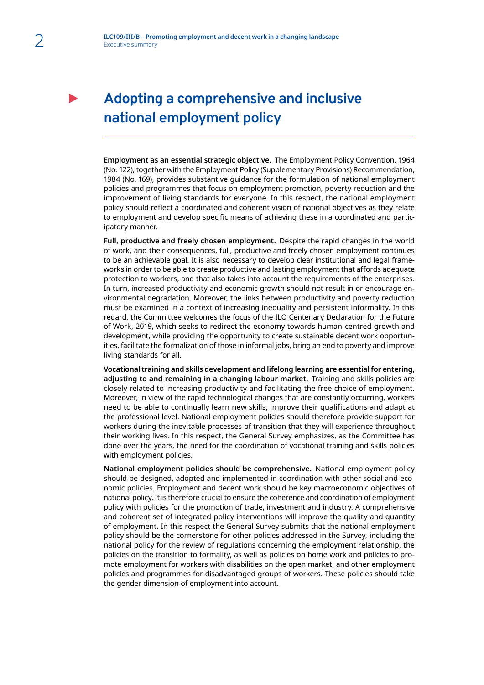## **Adopting a comprehensive and inclusive national employment policy**

**Employment as an essential strategic objective.** The Employment Policy Convention, 1964 (No. 122), together with the Employment Policy (Supplementary Provisions) Recommendation, 1984 (No. 169), provides substantive guidance for the formulation of national employment policies and programmes that focus on employment promotion, poverty reduction and the improvement of living standards for everyone. In this respect, the national employment policy should reflect a coordinated and coherent vision of national objectives as they relate to employment and develop specific means of achieving these in a coordinated and participatory manner.

**Full, productive and freely chosen employment.** Despite the rapid changes in the world of work, and their consequences, full, productive and freely chosen employment continues to be an achievable goal. It is also necessary to develop clear institutional and legal frameworks in order to be able to create productive and lasting employment that affords adequate protection to workers, and that also takes into account the requirements of the enterprises. In turn, increased productivity and economic growth should not result in or encourage environmental degradation. Moreover, the links between productivity and poverty reduction must be examined in a context of increasing inequality and persistent informality. In this regard, the Committee welcomes the focus of the ILO Centenary Declaration for the Future of Work, 2019, which seeks to redirect the economy towards human-centred growth and development, while providing the opportunity to create sustainable decent work opportunities, facilitate the formalization of those in informal jobs, bring an end to poverty and improve living standards for all.

**Vocational training and skills development and lifelong learning are essential for entering, adjusting to and remaining in a changing labour market.** Training and skills policies are closely related to increasing productivity and facilitating the free choice of employment. Moreover, in view of the rapid technological changes that are constantly occurring, workers need to be able to continually learn new skills, improve their qualifications and adapt at the professional level. National employment policies should therefore provide support for workers during the inevitable processes of transition that they will experience throughout their working lives. In this respect, the General Survey emphasizes, as the Committee has done over the years, the need for the coordination of vocational training and skills policies with employment policies.

**National employment policies should be comprehensive.** National employment policy should be designed, adopted and implemented in coordination with other social and economic policies. Employment and decent work should be key macroeconomic objectives of national policy. It is therefore crucial to ensure the coherence and coordination of employment policy with policies for the promotion of trade, investment and industry. A comprehensive and coherent set of integrated policy interventions will improve the quality and quantity of employment. In this respect the General Survey submits that the national employment policy should be the cornerstone for other policies addressed in the Survey, including the national policy for the review of regulations concerning the employment relationship, the policies on the transition to formality, as well as policies on home work and policies to promote employment for workers with disabilities on the open market, and other employment policies and programmes for disadvantaged groups of workers. These policies should take the gender dimension of employment into account.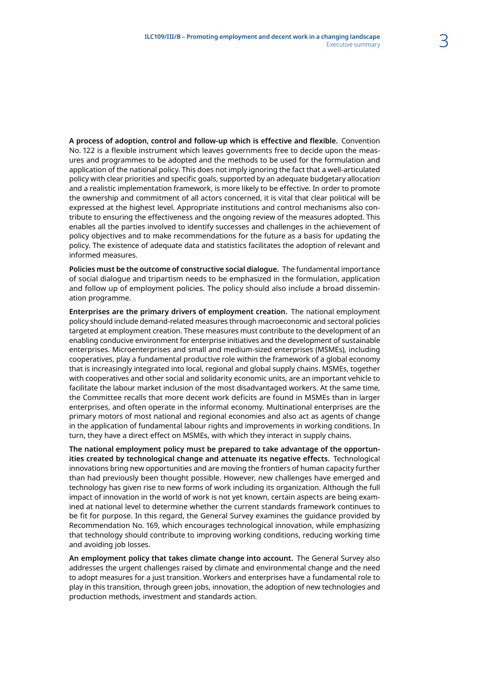**A process of adoption, control and follow-up which is effective and flexible.** Convention No. 122 is a flexible instrument which leaves governments free to decide upon the measures and programmes to be adopted and the methods to be used for the formulation and application of the national policy. This does not imply ignoring the fact that a well-articulated policy with clear priorities and specific goals, supported by an adequate budgetary allocation and a realistic implementation framework, is more likely to be effective. In order to promote the ownership and commitment of all actors concerned, it is vital that clear political will be expressed at the highest level. Appropriate institutions and control mechanisms also contribute to ensuring the effectiveness and the ongoing review of the measures adopted. This enables all the parties involved to identify successes and challenges in the achievement of policy objectives and to make recommendations for the future as a basis for updating the policy. The existence of adequate data and statistics facilitates the adoption of relevant and informed measures.

**Policies must be the outcome of constructive social dialogue.** The fundamental importance of social dialogue and tripartism needs to be emphasized in the formulation, application and follow up of employment policies. The policy should also include a broad dissemination programme.

**Enterprises are the primary drivers of employment creation.** The national employment policy should include demand-related measures through macroeconomic and sectoral policies targeted at employment creation. These measures must contribute to the development of an enabling conducive environment for enterprise initiatives and the development of sustainable enterprises. Microenterprises and small and medium-sized enterprises (MSMEs), including cooperatives, play a fundamental productive role within the framework of a global economy that is increasingly integrated into local, regional and global supply chains. MSMEs, together with cooperatives and other social and solidarity economic units, are an important vehicle to facilitate the labour market inclusion of the most disadvantaged workers. At the same time, the Committee recalls that more decent work deficits are found in MSMEs than in larger enterprises, and often operate in the informal economy. Multinational enterprises are the primary motors of most national and regional economies and also act as agents of change in the application of fundamental labour rights and improvements in working conditions. In turn, they have a direct effect on MSMEs, with which they interact in supply chains.

**The national employment policy must be prepared to take advantage of the opportunities created by technological change and attenuate its negative effects.** Technological innovations bring new opportunities and are moving the frontiers of human capacity further than had previously been thought possible. However, new challenges have emerged and technology has given rise to new forms of work including its organization. Although the full impact of innovation in the world of work is not yet known, certain aspects are being examined at national level to determine whether the current standards framework continues to be fit for purpose. In this regard, the General Survey examines the guidance provided by Recommendation No. 169, which encourages technological innovation, while emphasizing that technology should contribute to improving working conditions, reducing working time and avoiding job losses.

**An employment policy that takes climate change into account.** The General Survey also addresses the urgent challenges raised by climate and environmental change and the need to adopt measures for a just transition. Workers and enterprises have a fundamental role to play in this transition, through green jobs, innovation, the adoption of new technologies and production methods, investment and standards action.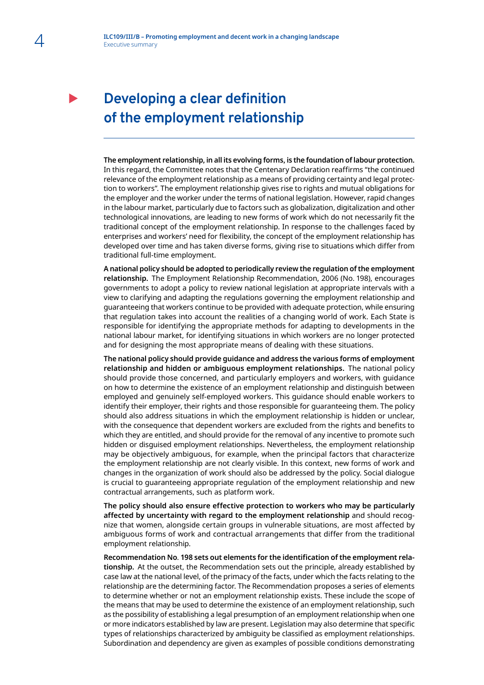## **Developing a clear definition of the employment relationship**

**The employment relationship, in all its evolving forms, is the foundation of labour protection.** In this regard, the Committee notes that the Centenary Declaration reaffirms "the continued relevance of the employment relationship as a means of providing certainty and legal protection to workers". The employment relationship gives rise to rights and mutual obligations for the employer and the worker under the terms of national legislation. However, rapid changes in the labour market, particularly due to factors such as globalization, digitalization and other technological innovations, are leading to new forms of work which do not necessarily fit the traditional concept of the employment relationship. In response to the challenges faced by enterprises and workers' need for flexibility, the concept of the employment relationship has developed over time and has taken diverse forms, giving rise to situations which differ from traditional full-time employment.

**A national policy should be adopted to periodically review the regulation of the employment relationship.** The Employment Relationship Recommendation, 2006 (No. 198), encourages governments to adopt a policy to review national legislation at appropriate intervals with a view to clarifying and adapting the regulations governing the employment relationship and guaranteeing that workers continue to be provided with adequate protection, while ensuring that regulation takes into account the realities of a changing world of work. Each State is responsible for identifying the appropriate methods for adapting to developments in the national labour market, for identifying situations in which workers are no longer protected and for designing the most appropriate means of dealing with these situations.

**The national policy should provide guidance and address the various forms of employment relationship and hidden or ambiguous employment relationships.** The national policy should provide those concerned, and particularly employers and workers, with guidance on how to determine the existence of an employment relationship and distinguish between employed and genuinely self-employed workers. This guidance should enable workers to identify their employer, their rights and those responsible for guaranteeing them. The policy should also address situations in which the employment relationship is hidden or unclear, with the consequence that dependent workers are excluded from the rights and benefits to which they are entitled, and should provide for the removal of any incentive to promote such hidden or disguised employment relationships. Nevertheless, the employment relationship may be objectively ambiguous, for example, when the principal factors that characterize the employment relationship are not clearly visible. In this context, new forms of work and changes in the organization of work should also be addressed by the policy. Social dialogue is crucial to guaranteeing appropriate regulation of the employment relationship and new contractual arrangements, such as platform work.

**The policy should also ensure effective protection to workers who may be particularly affected by uncertainty with regard to the employment relationship** and should recognize that women, alongside certain groups in vulnerable situations, are most affected by ambiguous forms of work and contractual arrangements that differ from the traditional employment relationship.

**Recommendation No**. **198 sets out elements for the identification of the employment relationship.** At the outset, the Recommendation sets out the principle, already established by case law at the national level, of the primacy of the facts, under which the facts relating to the relationship are the determining factor. The Recommendation proposes a series of elements to determine whether or not an employment relationship exists. These include the scope of the means that may be used to determine the existence of an employment relationship, such as the possibility of establishing a legal presumption of an employment relationship when one or more indicators established by law are present. Legislation may also determine that specific types of relationships characterized by ambiguity be classified as employment relationships. Subordination and dependency are given as examples of possible conditions demonstrating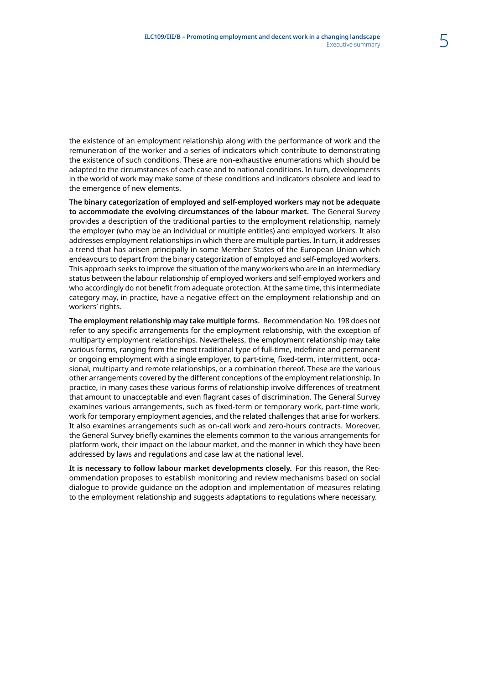the existence of an employment relationship along with the performance of work and the remuneration of the worker and a series of indicators which contribute to demonstrating the existence of such conditions. These are non-exhaustive enumerations which should be adapted to the circumstances of each case and to national conditions. In turn, developments in the world of work may make some of these conditions and indicators obsolete and lead to the emergence of new elements.

**The binary categorization of employed and self-employed workers may not be adequate to accommodate the evolving circumstances of the labour market.** The General Survey provides a description of the traditional parties to the employment relationship, namely the employer (who may be an individual or multiple entities) and employed workers. It also addresses employment relationships in which there are multiple parties. In turn, it addresses a trend that has arisen principally in some Member States of the European Union which endeavours to depart from the binary categorization of employed and self-employed workers. This approach seeks to improve the situation of the many workers who are in an intermediary status between the labour relationship of employed workers and self-employed workers and who accordingly do not benefit from adequate protection. At the same time, this intermediate category may, in practice, have a negative effect on the employment relationship and on workers' rights.

**The employment relationship may take multiple forms.** Recommendation No. 198 does not refer to any specific arrangements for the employment relationship, with the exception of multiparty employment relationships. Nevertheless, the employment relationship may take various forms, ranging from the most traditional type of full-time, indefinite and permanent or ongoing employment with a single employer, to part-time, fixed-term, intermittent, occasional, multiparty and remote relationships, or a combination thereof. These are the various other arrangements covered by the different conceptions of the employment relationship. In practice, in many cases these various forms of relationship involve differences of treatment that amount to unacceptable and even flagrant cases of discrimination. The General Survey examines various arrangements, such as fixed-term or temporary work, part-time work, work for temporary employment agencies, and the related challenges that arise for workers. It also examines arrangements such as on-call work and zero-hours contracts. Moreover, the General Survey briefly examines the elements common to the various arrangements for platform work, their impact on the labour market, and the manner in which they have been addressed by laws and regulations and case law at the national level.

**It is necessary to follow labour market developments closely.** For this reason, the Recommendation proposes to establish monitoring and review mechanisms based on social dialogue to provide guidance on the adoption and implementation of measures relating to the employment relationship and suggests adaptations to regulations where necessary.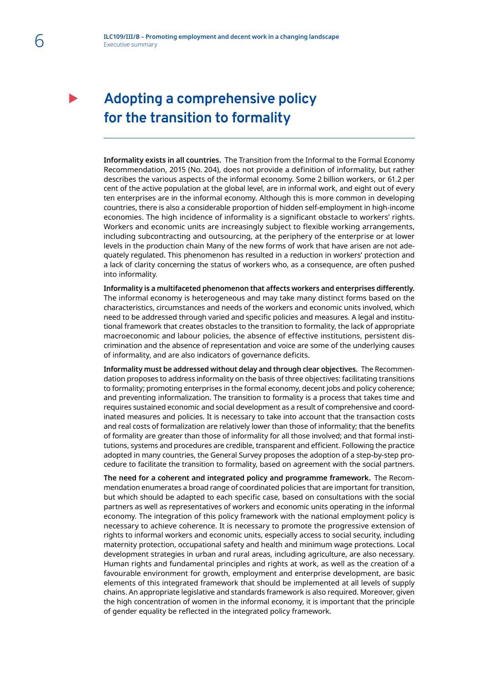## **Adopting a comprehensive policy for the transition to formality**

**Informality exists in all countries.** The Transition from the Informal to the Formal Economy Recommendation, 2015 (No. 204), does not provide a definition of informality, but rather describes the various aspects of the informal economy. Some 2 billion workers, or 61.2 per cent of the active population at the global level, are in informal work, and eight out of every ten enterprises are in the informal economy. Although this is more common in developing countries, there is also a considerable proportion of hidden self-employment in high-income economies. The high incidence of informality is a significant obstacle to workers' rights. Workers and economic units are increasingly subject to flexible working arrangements, including subcontracting and outsourcing, at the periphery of the enterprise or at lower levels in the production chain Many of the new forms of work that have arisen are not adequately regulated. This phenomenon has resulted in a reduction in workers' protection and a lack of clarity concerning the status of workers who, as a consequence, are often pushed into informality.

**Informality is a multifaceted phenomenon that affects workers and enterprises differently.** The informal economy is heterogeneous and may take many distinct forms based on the characteristics, circumstances and needs of the workers and economic units involved, which need to be addressed through varied and specific policies and measures. A legal and institutional framework that creates obstacles to the transition to formality, the lack of appropriate macroeconomic and labour policies, the absence of effective institutions, persistent discrimination and the absence of representation and voice are some of the underlying causes of informality, and are also indicators of governance deficits.

**Informality must be addressed without delay and through clear objectives.** The Recommendation proposes to address informality on the basis of three objectives: facilitating transitions to formality; promoting enterprises in the formal economy, decent jobs and policy coherence; and preventing informalization. The transition to formality is a process that takes time and requires sustained economic and social development as a result of comprehensive and coordinated measures and policies. It is necessary to take into account that the transaction costs and real costs of formalization are relatively lower than those of informality; that the benefits of formality are greater than those of informality for all those involved; and that formal institutions, systems and procedures are credible, transparent and efficient. Following the practice adopted in many countries, the General Survey proposes the adoption of a step-by-step procedure to facilitate the transition to formality, based on agreement with the social partners.

**The need for a coherent and integrated policy and programme framework.** The Recommendation enumerates a broad range of coordinated policies that are important for transition, but which should be adapted to each specific case, based on consultations with the social partners as well as representatives of workers and economic units operating in the informal economy. The integration of this policy framework with the national employment policy is necessary to achieve coherence. It is necessary to promote the progressive extension of rights to informal workers and economic units, especially access to social security, including maternity protection, occupational safety and health and minimum wage protections. Local development strategies in urban and rural areas, including agriculture, are also necessary. Human rights and fundamental principles and rights at work, as well as the creation of a favourable environment for growth, employment and enterprise development, are basic elements of this integrated framework that should be implemented at all levels of supply chains. An appropriate legislative and standards framework is also required. Moreover, given the high concentration of women in the informal economy, it is important that the principle of gender equality be reflected in the integrated policy framework.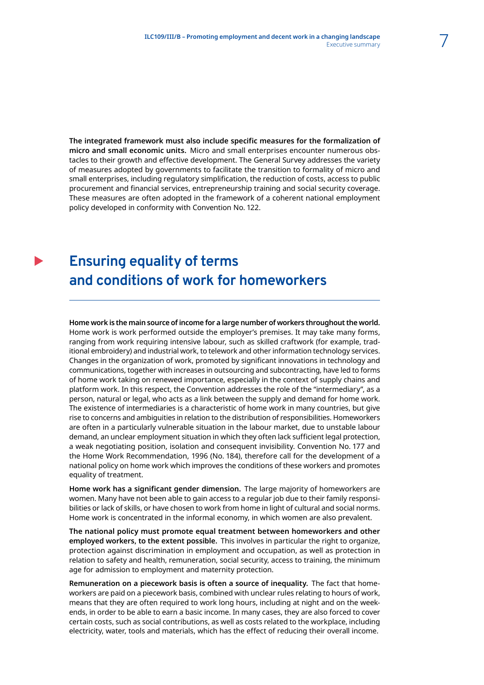**The integrated framework must also include specific measures for the formalization of micro and small economic units.** Micro and small enterprises encounter numerous obstacles to their growth and effective development. The General Survey addresses the variety of measures adopted by governments to facilitate the transition to formality of micro and small enterprises, including regulatory simplification, the reduction of costs, access to public procurement and financial services, entrepreneurship training and social security coverage. These measures are often adopted in the framework of a coherent national employment policy developed in conformity with Convention No. 122.

### **Ensuring equality of terms and conditions of work for homeworkers**

### **Home work is the main source of income for a large number of workers throughout the world.**

Home work is work performed outside the employer's premises. It may take many forms, ranging from work requiring intensive labour, such as skilled craftwork (for example, traditional embroidery) and industrial work, to telework and other information technology services. Changes in the organization of work, promoted by significant innovations in technology and communications, together with increases in outsourcing and subcontracting, have led to forms of home work taking on renewed importance, especially in the context of supply chains and platform work. In this respect, the Convention addresses the role of the "intermediary", as a person, natural or legal, who acts as a link between the supply and demand for home work. The existence of intermediaries is a characteristic of home work in many countries, but give rise to concerns and ambiguities in relation to the distribution of responsibilities. Homeworkers are often in a particularly vulnerable situation in the labour market, due to unstable labour demand, an unclear employment situation in which they often lack sufficient legal protection, a weak negotiating position, isolation and consequent invisibility. Convention No. 177 and the Home Work Recommendation, 1996 (No. 184), therefore call for the development of a national policy on home work which improves the conditions of these workers and promotes equality of treatment.

**Home work has a significant gender dimension.** The large majority of homeworkers are women. Many have not been able to gain access to a regular job due to their family responsibilities or lack of skills, or have chosen to work from home in light of cultural and social norms. Home work is concentrated in the informal economy, in which women are also prevalent.

**The national policy must promote equal treatment between homeworkers and other employed workers, to the extent possible.** This involves in particular the right to organize, protection against discrimination in employment and occupation, as well as protection in relation to safety and health, remuneration, social security, access to training, the minimum age for admission to employment and maternity protection.

**Remuneration on a piecework basis is often a source of inequality.** The fact that homeworkers are paid on a piecework basis, combined with unclear rules relating to hours of work, means that they are often required to work long hours, including at night and on the weekends, in order to be able to earn a basic income. In many cases, they are also forced to cover certain costs, such as social contributions, as well as costs related to the workplace, including electricity, water, tools and materials, which has the effect of reducing their overall income.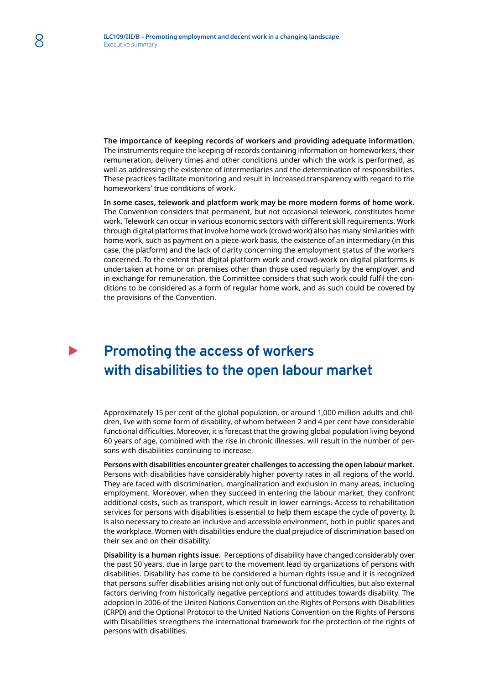**The importance of keeping records of workers and providing adequate information.** The instruments require the keeping of records containing information on homeworkers, their remuneration, delivery times and other conditions under which the work is performed, as well as addressing the existence of intermediaries and the determination of responsibilities. These practices facilitate monitoring and result in increased transparency with regard to the homeworkers' true conditions of work.

**In some cases, telework and platform work may be more modern forms of home work.** The Convention considers that permanent, but not occasional telework, constitutes home work. Telework can occur in various economic sectors with different skill requirements. Work through digital platforms that involve home work (crowd work) also has many similarities with home work, such as payment on a piece-work basis, the existence of an intermediary (in this case, the platform) and the lack of clarity concerning the employment status of the workers concerned. To the extent that digital platform work and crowd-work on digital platforms is undertaken at home or on premises other than those used regularly by the employer, and in exchange for remuneration, the Committee considers that such work could fulfil the conditions to be considered as a form of regular home work, and as such could be covered by the provisions of the Convention.

### **Promoting the access of workers with disabilities to the open labour market**

Approximately 15 per cent of the global population, or around 1,000 million adults and children, live with some form of disability, of whom between 2 and 4 per cent have considerable functional difficulties. Moreover, it is forecast that the growing global population living beyond 60 years of age, combined with the rise in chronic illnesses, will result in the number of persons with disabilities continuing to increase.

**Persons with disabilities encounter greater challenges to accessing the open labour market.** Persons with disabilities have considerably higher poverty rates in all regions of the world. They are faced with discrimination, marginalization and exclusion in many areas, including employment. Moreover, when they succeed in entering the labour market, they confront additional costs, such as transport, which result in lower earnings. Access to rehabilitation services for persons with disabilities is essential to help them escape the cycle of poverty. It is also necessary to create an inclusive and accessible environment, both in public spaces and the workplace. Women with disabilities endure the dual prejudice of discrimination based on their sex and on their disability.

**Disability is a human rights issue.** Perceptions of disability have changed considerably over the past 50 years, due in large part to the movement lead by organizations of persons with disabilities. Disability has come to be considered a human rights issue and it is recognized that persons suffer disabilities arising not only out of functional difficulties, but also external factors deriving from historically negative perceptions and attitudes towards disability. The adoption in 2006 of the United Nations Convention on the Rights of Persons with Disabilities (CRPD) and the Optional Protocol to the United Nations Convention on the Rights of Persons with Disabilities strengthens the international framework for the protection of the rights of persons with disabilities.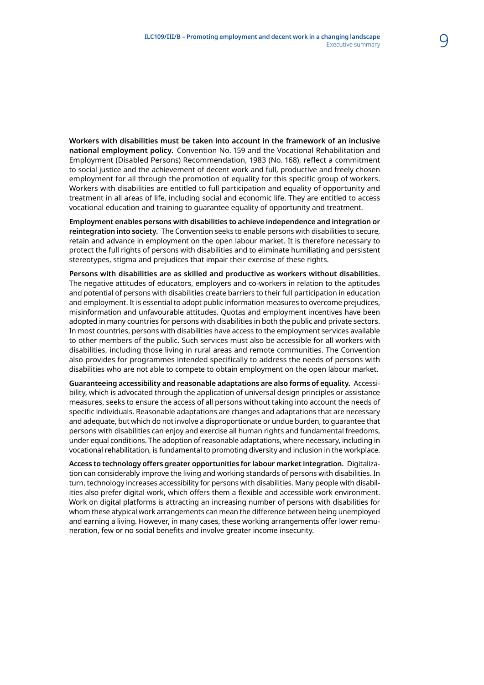**Workers with disabilities must be taken into account in the framework of an inclusive national employment policy.** Convention No. 159 and the Vocational Rehabilitation and Employment (Disabled Persons) Recommendation, 1983 (No. 168), reflect a commitment to social justice and the achievement of decent work and full, productive and freely chosen employment for all through the promotion of equality for this specific group of workers. Workers with disabilities are entitled to full participation and equality of opportunity and treatment in all areas of life, including social and economic life. They are entitled to access vocational education and training to guarantee equality of opportunity and treatment.

**Employment enables persons with disabilities to achieve independence and integration or reintegration into society.** The Convention seeks to enable persons with disabilities to secure, retain and advance in employment on the open labour market. It is therefore necessary to protect the full rights of persons with disabilities and to eliminate humiliating and persistent stereotypes, stigma and prejudices that impair their exercise of these rights.

**Persons with disabilities are as skilled and productive as workers without disabilities.** The negative attitudes of educators, employers and co-workers in relation to the aptitudes and potential of persons with disabilities create barriers to their full participation in education and employment. It is essential to adopt public information measures to overcome prejudices, misinformation and unfavourable attitudes. Quotas and employment incentives have been adopted in many countries for persons with disabilities in both the public and private sectors. In most countries, persons with disabilities have access to the employment services available to other members of the public. Such services must also be accessible for all workers with disabilities, including those living in rural areas and remote communities. The Convention also provides for programmes intended specifically to address the needs of persons with disabilities who are not able to compete to obtain employment on the open labour market.

**Guaranteeing accessibility and reasonable adaptations are also forms of equality.** Accessibility, which is advocated through the application of universal design principles or assistance measures, seeks to ensure the access of all persons without taking into account the needs of specific individuals. Reasonable adaptations are changes and adaptations that are necessary and adequate, but which do not involve a disproportionate or undue burden, to guarantee that persons with disabilities can enjoy and exercise all human rights and fundamental freedoms, under equal conditions. The adoption of reasonable adaptations, where necessary, including in vocational rehabilitation, is fundamental to promoting diversity and inclusion in the workplace.

**Access to technology offers greater opportunities for labour market integration.** Digitalization can considerably improve the living and working standards of persons with disabilities. In turn, technology increases accessibility for persons with disabilities. Many people with disabilities also prefer digital work, which offers them a flexible and accessible work environment. Work on digital platforms is attracting an increasing number of persons with disabilities for whom these atypical work arrangements can mean the difference between being unemployed and earning a living. However, in many cases, these working arrangements offer lower remuneration, few or no social benefits and involve greater income insecurity.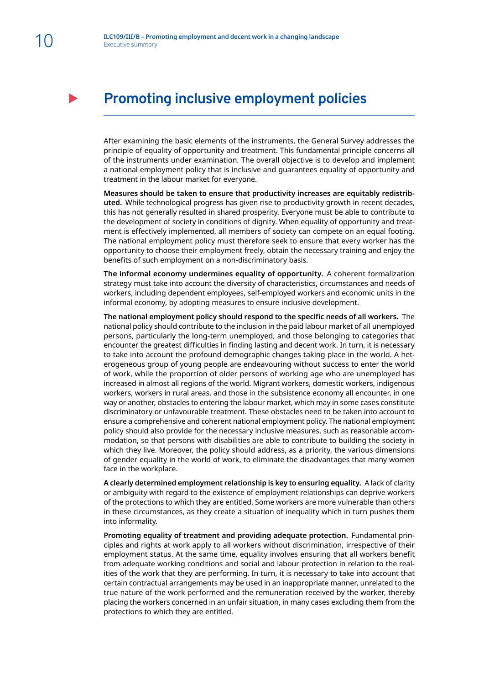### **Promoting inclusive employment policies**

After examining the basic elements of the instruments, the General Survey addresses the principle of equality of opportunity and treatment. This fundamental principle concerns all of the instruments under examination. The overall objective is to develop and implement a national employment policy that is inclusive and guarantees equality of opportunity and treatment in the labour market for everyone.

**Measures should be taken to ensure that productivity increases are equitably redistributed.** While technological progress has given rise to productivity growth in recent decades, this has not generally resulted in shared prosperity. Everyone must be able to contribute to the development of society in conditions of dignity. When equality of opportunity and treatment is effectively implemented, all members of society can compete on an equal footing. The national employment policy must therefore seek to ensure that every worker has the opportunity to choose their employment freely, obtain the necessary training and enjoy the benefits of such employment on a non-discriminatory basis.

**The informal economy undermines equality of opportunity.** A coherent formalization strategy must take into account the diversity of characteristics, circumstances and needs of workers, including dependent employees, self-employed workers and economic units in the informal economy, by adopting measures to ensure inclusive development.

**The national employment policy should respond to the specific needs of all workers.** The national policy should contribute to the inclusion in the paid labour market of all unemployed persons, particularly the long-term unemployed, and those belonging to categories that encounter the greatest difficulties in finding lasting and decent work. In turn, it is necessary to take into account the profound demographic changes taking place in the world. A heterogeneous group of young people are endeavouring without success to enter the world of work, while the proportion of older persons of working age who are unemployed has increased in almost all regions of the world. Migrant workers, domestic workers, indigenous workers, workers in rural areas, and those in the subsistence economy all encounter, in one way or another, obstacles to entering the labour market, which may in some cases constitute discriminatory or unfavourable treatment. These obstacles need to be taken into account to ensure a comprehensive and coherent national employment policy. The national employment policy should also provide for the necessary inclusive measures, such as reasonable accommodation, so that persons with disabilities are able to contribute to building the society in which they live. Moreover, the policy should address, as a priority, the various dimensions of gender equality in the world of work, to eliminate the disadvantages that many women face in the workplace.

**A clearly determined employment relationship is key to ensuring equality.** A lack of clarity or ambiguity with regard to the existence of employment relationships can deprive workers of the protections to which they are entitled. Some workers are more vulnerable than others in these circumstances, as they create a situation of inequality which in turn pushes them into informality.

**Promoting equality of treatment and providing adequate protection.** Fundamental principles and rights at work apply to all workers without discrimination, irrespective of their employment status. At the same time, equality involves ensuring that all workers benefit from adequate working conditions and social and labour protection in relation to the realities of the work that they are performing. In turn, it is necessary to take into account that certain contractual arrangements may be used in an inappropriate manner, unrelated to the true nature of the work performed and the remuneration received by the worker, thereby placing the workers concerned in an unfair situation, in many cases excluding them from the protections to which they are entitled.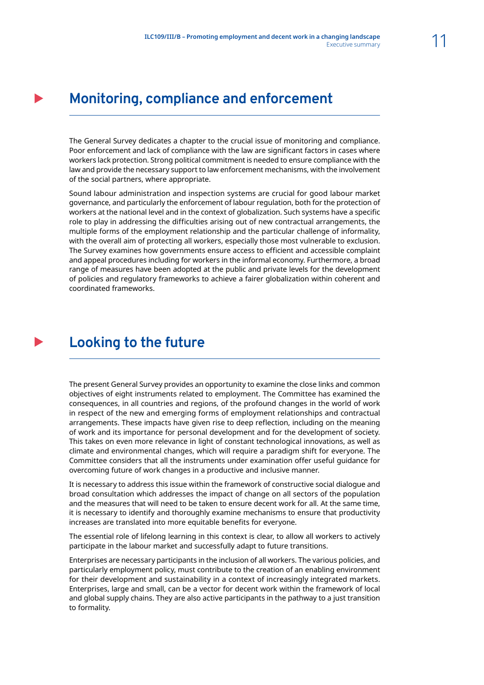### **Monitoring, compliance and enforcement**

The General Survey dedicates a chapter to the crucial issue of monitoring and compliance. Poor enforcement and lack of compliance with the law are significant factors in cases where workers lack protection. Strong political commitment is needed to ensure compliance with the law and provide the necessary support to law enforcement mechanisms, with the involvement of the social partners, where appropriate.

Sound labour administration and inspection systems are crucial for good labour market governance, and particularly the enforcement of labour regulation, both for the protection of workers at the national level and in the context of globalization. Such systems have a specific role to play in addressing the difficulties arising out of new contractual arrangements, the multiple forms of the employment relationship and the particular challenge of informality, with the overall aim of protecting all workers, especially those most vulnerable to exclusion. The Survey examines how governments ensure access to efficient and accessible complaint and appeal procedures including for workers in the informal economy. Furthermore, a broad range of measures have been adopted at the public and private levels for the development of policies and regulatory frameworks to achieve a fairer globalization within coherent and coordinated frameworks.

### **Looking to the future**

The present General Survey provides an opportunity to examine the close links and common objectives of eight instruments related to employment. The Committee has examined the consequences, in all countries and regions, of the profound changes in the world of work in respect of the new and emerging forms of employment relationships and contractual arrangements. These impacts have given rise to deep reflection, including on the meaning of work and its importance for personal development and for the development of society. This takes on even more relevance in light of constant technological innovations, as well as climate and environmental changes, which will require a paradigm shift for everyone. The Committee considers that all the instruments under examination offer useful guidance for overcoming future of work changes in a productive and inclusive manner.

It is necessary to address this issue within the framework of constructive social dialogue and broad consultation which addresses the impact of change on all sectors of the population and the measures that will need to be taken to ensure decent work for all. At the same time, it is necessary to identify and thoroughly examine mechanisms to ensure that productivity increases are translated into more equitable benefits for everyone.

The essential role of lifelong learning in this context is clear, to allow all workers to actively participate in the labour market and successfully adapt to future transitions.

Enterprises are necessary participants in the inclusion of all workers. The various policies, and particularly employment policy, must contribute to the creation of an enabling environment for their development and sustainability in a context of increasingly integrated markets. Enterprises, large and small, can be a vector for decent work within the framework of local and global supply chains. They are also active participants in the pathway to a just transition to formality.